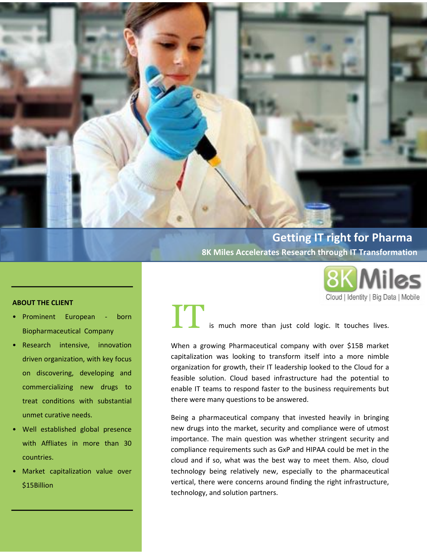

**8K Miles Accelerates Research through IT Transformation**

Cloud | Identity | Big Data | Mobile

### **ABOUT THE CLIENT**

- Prominent European born Biopharmaceutical Company
- Research intensive, innovation driven organization, with key focus on discovering, developing and commercializing new drugs to treat conditions with substantial unmet curative needs.
- Well established global presence with Affliates in more than 30 countries.
- Market capitalization value over \$15Billion

ITIS is much more than just cold logic. It touches lives.

When a growing Pharmaceutical company with over \$15B market capitalization was looking to transform itself into a more nimble organization for growth, their IT leadership looked to the Cloud for a feasible solution. Cloud based infrastructure had the potential to enable IT teams to respond faster to the business requirements but there were many questions to be answered.

Being a pharmaceutical company that invested heavily in bringing new drugs into the market, security and compliance were of utmost importance. The main question was whether stringent security and compliance requirements such as GxP and HIPAA could be met in the cloud and if so, what was the best way to meet them. Also, cloud technology being relatively new, especially to the pharmaceutical vertical, there were concerns around finding the right infrastructure, technology, and solution partners.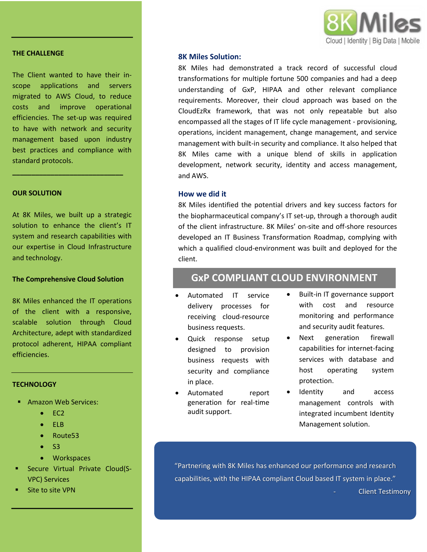

#### **THE CHALLENGE**

The Client wanted to have their inscope applications and servers migrated to AWS Cloud, to reduce costs and improve operational efficiencies. The set-up was required to have with network and security management based upon industry best practices and compliance with standard protocols.

**\_\_\_\_\_\_\_\_\_\_\_\_\_\_\_\_\_\_\_\_\_\_\_\_\_\_\_\_\_**

#### **OUR SOLUTION**

At 8K Miles, we built up a strategic solution to enhance the client's IT system and research capabilities with our expertise in Cloud Infrastructure and technology.

### **The Comprehensive Cloud Solution**

8K Miles enhanced the IT operations of the client with a responsive, scalable solution through Cloud Architecture, adept with standardized protocol adherent, HIPAA compliant efficiencies.

#### **TECHNOLOGY**

- **Amazon Web Services:** 
	- $\bullet$  EC2
	- $\bullet$  FLB
	- Route53
	- $\bullet$  S3
	- **Workspaces**
- Secure Virtual Private Cloud(S-VPC) Services
- Site to site VPN

### **8K Miles Solution:**

8K Miles had demonstrated a track record of successful cloud transformations for multiple fortune 500 companies and had a deep understanding of GxP, HIPAA and other relevant compliance requirements. Moreover, their cloud approach was based on the CloudEzRx framework, that was not only repeatable but also encompassed all the stages of IT life cycle management - provisioning, operations, incident management, change management, and service management with built-in security and compliance. It also helped that 8K Miles came with a unique blend of skills in application development, network security, identity and access management, and AWS.

#### **How we did it**

8K Miles identified the potential drivers and key success factors for the biopharmaceutical company's IT set-up, through a thorough audit of the client infrastructure. 8K Miles' on-site and off-shore resources developed an IT Business Transformation Roadmap, complying with which a qualified cloud-environment was built and deployed for the client.

### **GxP COMPLIANT CLOUD ENVIRONMENT**

- Automated IT service delivery processes for receiving cloud-resource business requests.
- Quick response setup designed to provision business requests with security and compliance in place.
- Automated report generation for real-time audit support.
- Built-in IT governance support with cost and resource monitoring and performance and security audit features.
- Next generation firewall capabilities for internet-facing services with database and host operating system protection.
- Identity and access management controls with integrated incumbent Identity Management solution.

"Partnering with 8K Miles has enhanced our performance and research capabilities, with the HIPAA compliant Cloud based IT system in place." Client Testimony